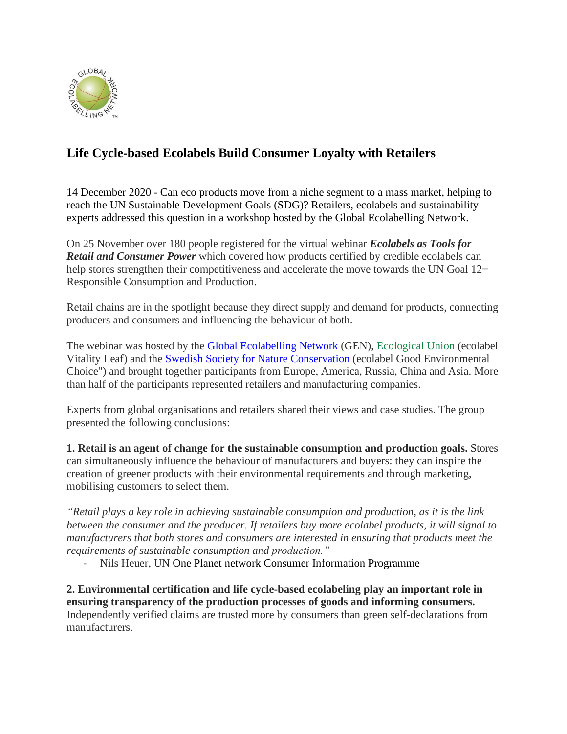

## **Life Cycle-based Ecolabels Build Consumer Loyalty with Retailers**

14 December 2020 - Can eco products move from a niche segment to a mass market, helping to reach the UN Sustainable Development Goals (SDG)? Retailers, ecolabels and sustainability experts addressed this question in a workshop hosted by the Global Ecolabelling Network.

On 25 November over 180 people registered for the virtual webinar *Ecolabels as Tools for Retail and Consumer Power* which covered how products certified by credible ecolabels can help stores strengthen their competitiveness and accelerate the move towards the UN Goal 12– Responsible Consumption and Production.

Retail chains are in the spotlight because they direct supply and demand for products, connecting producers and consumers and influencing the behaviour of both.

The webinar was hosted by the **[Global Ecolabelling Network](http://globalecolabelling.net/)** (GEN), [Ecological Union](https://ecounion.ru/) (ecolabel Vitality Leaf) and the [Swedish Society for Nature](https://www.naturskyddsforeningen.se/in-english) Conservation (ecolabel Good Environmental Choice") and brought together participants from Europe, America, Russia, China and Asia. More than half of the participants represented retailers and manufacturing companies.

Experts from global organisations and retailers shared their views and case studies. The group presented the following conclusions:

**1. Retail is an agent of change for the sustainable consumption and production goals.** Stores can simultaneously influence the behaviour of manufacturers and buyers: they can inspire the creation of greener products with their environmental requirements and through marketing, mobilising customers to select them.

*"Retail plays a key role in achieving sustainable consumption and production, as it is the link between the consumer and the producer. If retailers buy more ecolabel products, it will signal to manufacturers that both stores and consumers are interested in ensuring that products meet the requirements of sustainable consumption and production."*

- Nils Heuer, UN One Planet network Consumer Information Programme

**2. Environmental certification and life cycle-based ecolabeling play an important role in ensuring transparency of the production processes of goods and informing consumers.** Independently verified claims are trusted more by consumers than green self-declarations from manufacturers.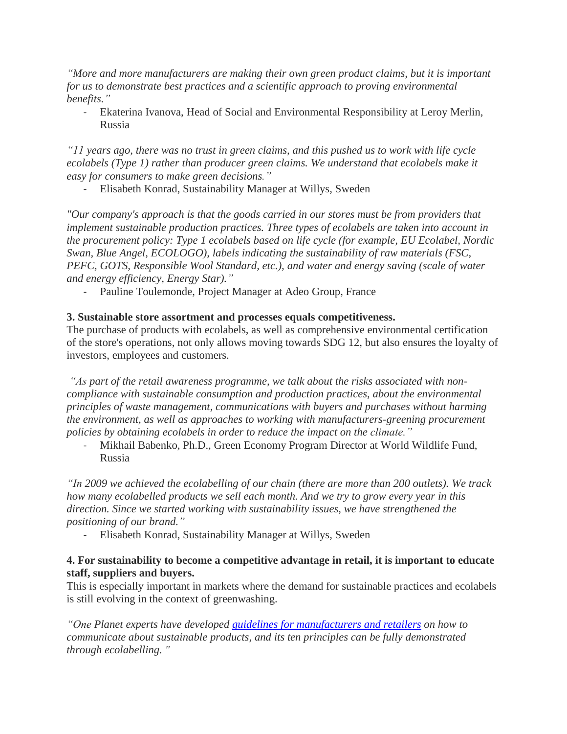*"More and more manufacturers are making their own green product claims, but it is important for us to demonstrate best practices and a scientific approach to proving environmental benefits."*

- Ekaterina Ivanova, Head of Social and Environmental Responsibility at Leroy Merlin, Russia

"II years ago, there was no trust in green claims, and this pushed us to work with life cycle *ecolabels (Type 1) rather than producer green claims. We understand that ecolabels make it easy for consumers to make green decisions."*

- Elisabeth Konrad, Sustainability Manager at Willys, Sweden

*"Our company's approach is that the goods carried in our stores must be from providers that implement sustainable production practices. Three types of ecolabels are taken into account in the procurement policy: Type 1 ecolabels based on life cycle (for example, EU Ecolabel, Nordic Swan, Blue Angel, ECOLOGO), labels indicating the sustainability of raw materials (FSC, PEFC, GOTS, Responsible Wool Standard, etc.), and water and energy saving (scale of water and energy efficiency, Energy Star)."*

Pauline Toulemonde, Project Manager at Adeo Group, France

## **3. Sustainable store assortment and processes equals competitiveness.**

The purchase of products with ecolabels, as well as comprehensive environmental certification of the store's operations, not only allows moving towards SDG 12, but also ensures the loyalty of investors, employees and customers.

*"As part of the retail awareness programme, we talk about the risks associated with noncompliance with sustainable consumption and production practices, about the environmental principles of waste management, communications with buyers and purchases without harming the environment, as well as approaches to working with manufacturers-greening procurement policies by obtaining ecolabels in order to reduce the impact on the climate."*

- Mikhail Babenko, Ph.D., Green Economy Program Director at World Wildlife Fund, Russia

*"In 2009 we achieved the ecolabelling of our chain (there are more than 200 outlets). We track how many ecolabelled products we sell each month. And we try to grow every year in this direction. Since we started working with sustainability issues, we have strengthened the positioning of our brand."*

- Elisabeth Konrad, Sustainability Manager at Willys, Sweden

## **4. For sustainability to become a competitive advantage in retail, it is important to educate staff, suppliers and buyers.**

This is especially important in markets where the demand for sustainable practices and ecolabels is still evolving in the context of greenwashing.

*"One Planet experts have developed guidelines for [manufacturers](https://www.oneplanetnetwork.org/sites/default/files/guidelines_for_providing_product_sustainability_information_ci-scp_2017_revised.pdf) and retailers on how to communicate about sustainable products, and its ten principles can be fully demonstrated through ecolabelling. "*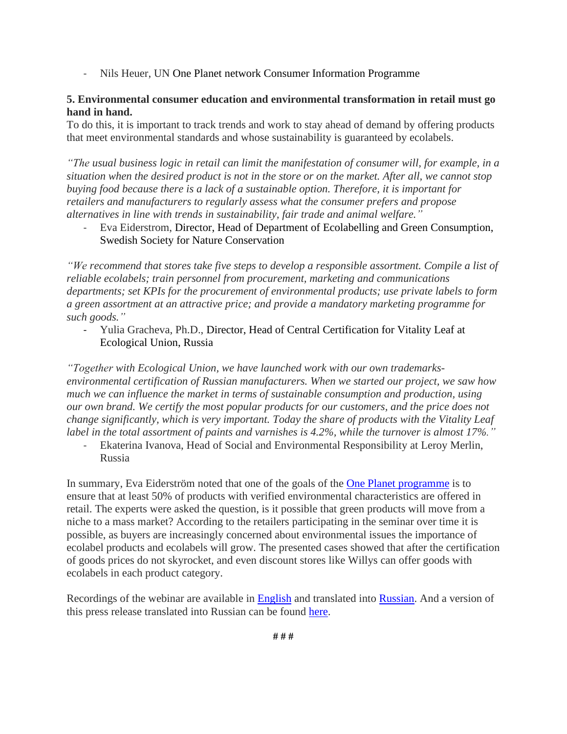- Nils Heuer, UN One Planet network Consumer Information Programme

## **5. Environmental consumer education and environmental transformation in retail must go hand in hand.**

To do this, it is important to track trends and work to stay ahead of demand by offering products that meet environmental standards and whose sustainability is guaranteed by ecolabels.

*"The usual business logic in retail can limit the manifestation of consumer will, for example, in a* situation when the desired product is not in the store or on the market. After all, we cannot stop *buying food because there is a lack of a sustainable option. Therefore, it is important for retailers and manufacturers to regularly assess what the consumer prefers and propose alternatives in line with trends in sustainability, fair trade and animal welfare."*

- Eva Eiderstrom, Director, Head of Department of Ecolabelling and Green Consumption, Swedish Society for Nature Conservation

*"We recommend that stores take five steps to develop a responsible assortment. Compile a list of reliable ecolabels; train personnel from procurement, marketing and communications departments; set KPIs for the procurement of environmental products; use private labels to form a green assortment at an attractive price; and provide a mandatory marketing programme for such goods."*

- Yulia Gracheva, Ph.D., Director, Head of Central Certification for Vitality Leaf at Ecological Union, Russia

*"Together with Ecological Union, we have launched work with our own trademarksenvironmental certification of Russian manufacturers. When we started our project, we saw how much we can influence the market in terms of sustainable consumption and production, using our own brand. We certify the most popular products for our customers, and the price does not change significantly, which is very important. Today the share of products with the Vitality Leaf label in the total assortment of paints and varnishes is 4.2%, while the turnover is almost 17%."*

- Ekaterina Ivanova, Head of Social and Environmental Responsibility at Leroy Merlin, Russia

In summary, Eva Eiderström noted that one of the goals of the **One Planet programme** is to ensure that at least 50% of products with verified environmental characteristics are offered in retail. The experts were asked the question, is it possible that green products will move from a niche to a mass market? According to the retailers participating in the seminar over time it is possible, as buyers are increasingly concerned about environmental issues the importance of ecolabel products and ecolabels will grow. The presented cases showed that after the certification of goods prices do not skyrocket, and even discount stores like Willys can offer goods with ecolabels in each product category.

Recordings of the webinar are available in [English](https://youtu.be/Py4r8gn87HE?t=2) and translated into [Russian.](https://www.youtube.com/watch?v=smEWAhe2MFc&feature=emb_title) And a version of this press release translated into Russian can be found [here.](https://ecounion.ru/v-ritejle-dolzhno-byt-ne-menee-50-tovarov-s-podtverzhdennymi-ekologicheskimi-harakteristikami-odna-iz-zadach-programmy-oon-one-planet/)